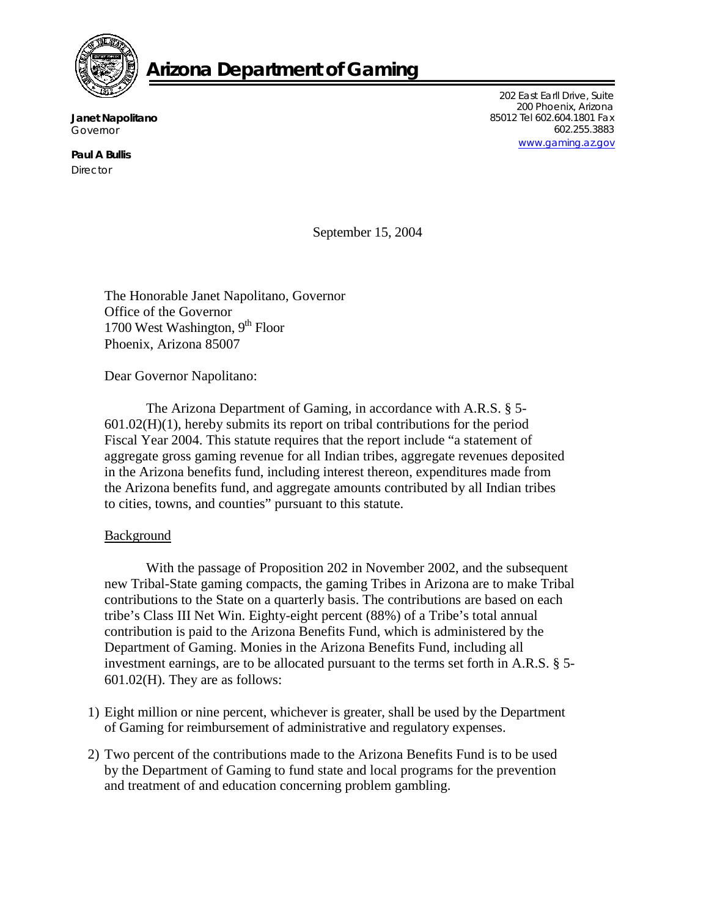

## **Arizona Department of Gaming**

**Janet Napolitano**  Governor

**Paul A Bullis Director** 

202 East Earll Drive, Suite 200 Phoenix, Arizona 85012 Tel 602.604.1801 Fax 602.255.3883 [www.gaming.az.gov](http://www.gaming.az.gov/)

September 15, 2004

The Honorable Janet Napolitano, Governor Office of the Governor 1700 West Washington,  $9<sup>th</sup>$  Floor Phoenix, Arizona 85007

Dear Governor Napolitano:

The Arizona Department of Gaming, in accordance with A.R.S. § 5- 601.02(H)(1), hereby submits its report on tribal contributions for the period Fiscal Year 2004. This statute requires that the report include "a statement of aggregate gross gaming revenue for all Indian tribes, aggregate revenues deposited in the Arizona benefits fund, including interest thereon, expenditures made from the Arizona benefits fund, and aggregate amounts contributed by all Indian tribes to cities, towns, and counties" pursuant to this statute.

## Background

With the passage of Proposition 202 in November 2002, and the subsequent new Tribal-State gaming compacts, the gaming Tribes in Arizona are to make Tribal contributions to the State on a quarterly basis. The contributions are based on each tribe's Class III Net Win. Eighty-eight percent (88%) of a Tribe's total annual contribution is paid to the Arizona Benefits Fund, which is administered by the Department of Gaming. Monies in the Arizona Benefits Fund, including all investment earnings, are to be allocated pursuant to the terms set forth in A.R.S. § 5- 601.02(H). They are as follows:

- 1) Eight million or nine percent, whichever is greater, shall be used by the Department of Gaming for reimbursement of administrative and regulatory expenses.
- 2) Two percent of the contributions made to the Arizona Benefits Fund is to be used by the Department of Gaming to fund state and local programs for the prevention and treatment of and education concerning problem gambling.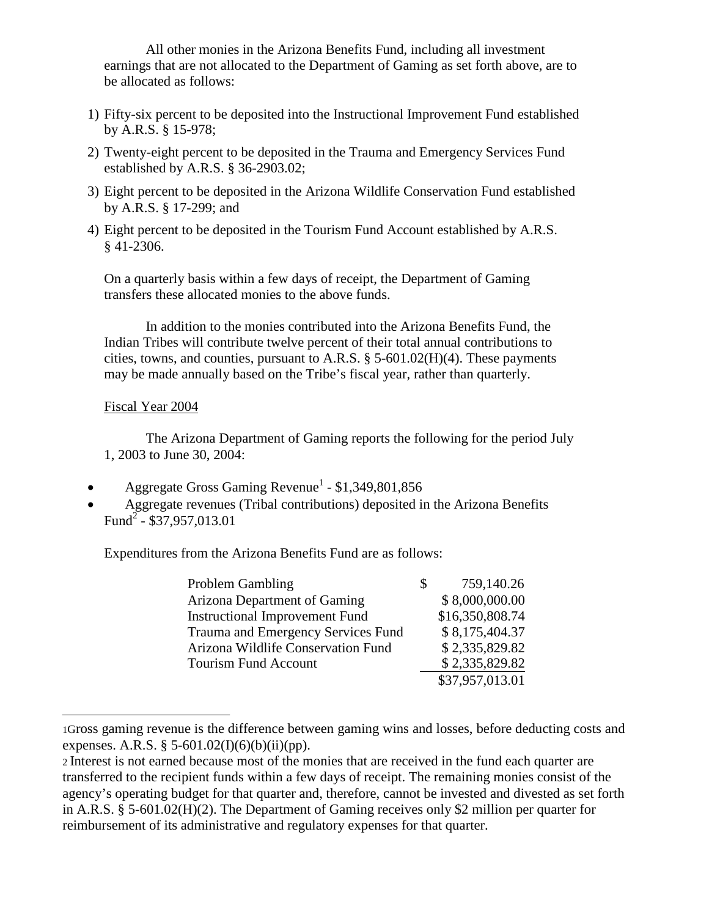All other monies in the Arizona Benefits Fund, including all investment earnings that are not allocated to the Department of Gaming as set forth above, are to be allocated as follows:

- 1) Fifty-six percent to be deposited into the Instructional Improvement Fund established by A.R.S. § 15-978;
- 2) Twenty-eight percent to be deposited in the Trauma and Emergency Services Fund established by A.R.S. § 36-2903.02;
- 3) Eight percent to be deposited in the Arizona Wildlife Conservation Fund established by A.R.S. § 17-299; and
- 4) Eight percent to be deposited in the Tourism Fund Account established by A.R.S. § 41-2306.

On a quarterly basis within a few days of receipt, the Department of Gaming transfers these allocated monies to the above funds.

In addition to the monies contributed into the Arizona Benefits Fund, the Indian Tribes will contribute twelve percent of their total annual contributions to cities, towns, and counties, pursuant to A.R.S.  $\S$  5-601.02(H)(4). These payments may be made annually based on the Tribe's fiscal year, rather than quarterly.

## Fiscal Year 2004

The Arizona Department of Gaming reports the following for the period July 1, 2003 to June 30, 2004:

- Aggregate Gross Gaming Revenue<sup>1</sup> \$1,349,801,856
- Aggregate revenues (Tribal contributions) deposited in the Arizona Benefits Fund<sup>2</sup> - \$37,957,013.01

Expenditures from the Arizona Benefits Fund are as follows:

| <b>Problem Gambling</b>               | 759,140.26      |
|---------------------------------------|-----------------|
| Arizona Department of Gaming          | \$8,000,000.00  |
| <b>Instructional Improvement Fund</b> | \$16,350,808.74 |
| Trauma and Emergency Services Fund    | \$8,175,404.37  |
| Arizona Wildlife Conservation Fund    | \$2,335,829.82  |
| <b>Tourism Fund Account</b>           | \$2,335,829.82  |
|                                       | \$37,957,013.01 |

<sup>1</sup>Gross gaming revenue is the difference between gaming wins and losses, before deducting costs and expenses. A.R.S. § 5-601.02(I)(6)(b)(ii)(pp).

<sup>2</sup> Interest is not earned because most of the monies that are received in the fund each quarter are transferred to the recipient funds within a few days of receipt. The remaining monies consist of the agency's operating budget for that quarter and, therefore, cannot be invested and divested as set forth in A.R.S. § 5-601.02(H)(2). The Department of Gaming receives only \$2 million per quarter for reimbursement of its administrative and regulatory expenses for that quarter.